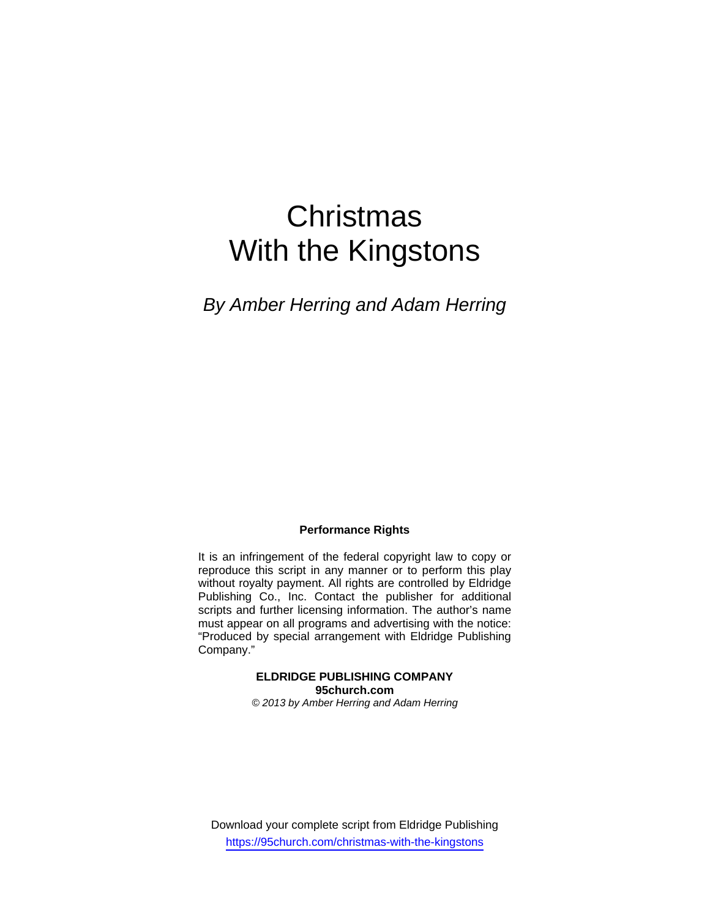# **Christmas** With the Kingstons

*By Amber Herring and Adam Herring* 

#### **Performance Rights**

It is an infringement of the federal copyright law to copy or reproduce this script in any manner or to perform this play without royalty payment. All rights are controlled by Eldridge Publishing Co., Inc. Contact the publisher for additional scripts and further licensing information. The author's name must appear on all programs and advertising with the notice: "Produced by special arrangement with Eldridge Publishing Company."

#### **ELDRIDGE PUBLISHING COMPANY 95church.com**

*© 2013 by Amber Herring and Adam Herring*

Download your complete script from Eldridge Publishing https://95church.com/christmas-with-the-kingstons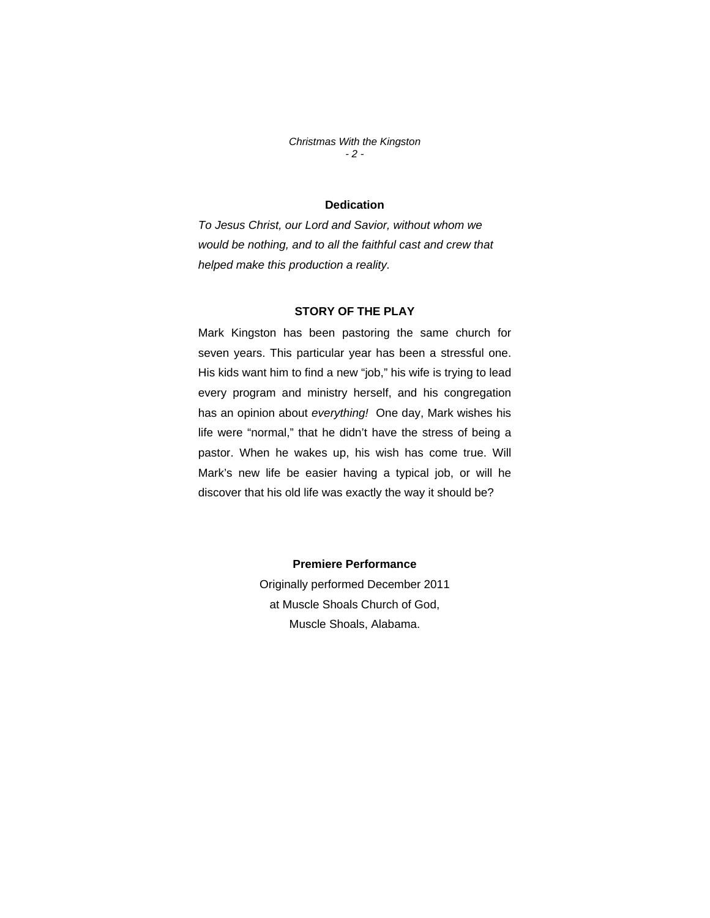*Christmas With the Kingston - 2 -* 

## **Dedication**

*To Jesus Christ, our Lord and Savior, without whom we would be nothing, and to all the faithful cast and crew that helped make this production a reality.* 

## **STORY OF THE PLAY**

Mark Kingston has been pastoring the same church for seven years. This particular year has been a stressful one. His kids want him to find a new "job," his wife is trying to lead every program and ministry herself, and his congregation has an opinion about *everything!* One day, Mark wishes his life were "normal," that he didn't have the stress of being a pastor. When he wakes up, his wish has come true. Will Mark's new life be easier having a typical job, or will he discover that his old life was exactly the way it should be?

## **Premiere Performance**

Originally performed December 2011 at Muscle Shoals Church of God, Muscle Shoals, Alabama.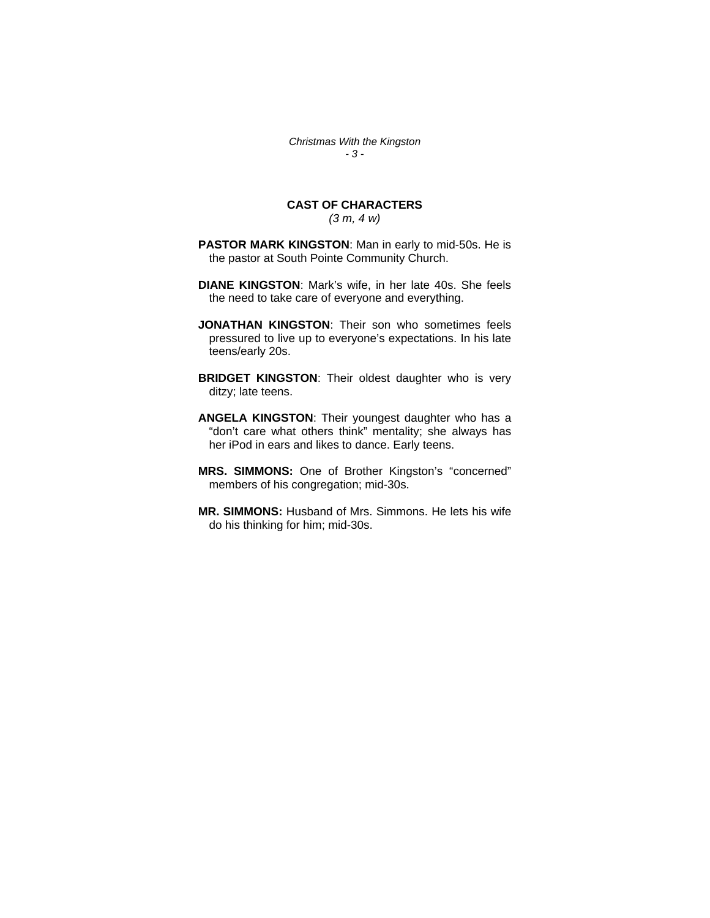*Christmas With the Kingston - 3 -* 

# **CAST OF CHARACTERS**

*(3 m, 4 w)* 

- **PASTOR MARK KINGSTON**: Man in early to mid-50s. He is the pastor at South Pointe Community Church.
- **DIANE KINGSTON**: Mark's wife, in her late 40s. She feels the need to take care of everyone and everything.
- **JONATHAN KINGSTON**: Their son who sometimes feels pressured to live up to everyone's expectations. In his late teens/early 20s.
- **BRIDGET KINGSTON**: Their oldest daughter who is very ditzy; late teens.
- **ANGELA KINGSTON**: Their youngest daughter who has a "don't care what others think" mentality; she always has her iPod in ears and likes to dance. Early teens.
- **MRS. SIMMONS:** One of Brother Kingston's "concerned" members of his congregation; mid-30s.
- **MR. SIMMONS:** Husband of Mrs. Simmons. He lets his wife do his thinking for him; mid-30s.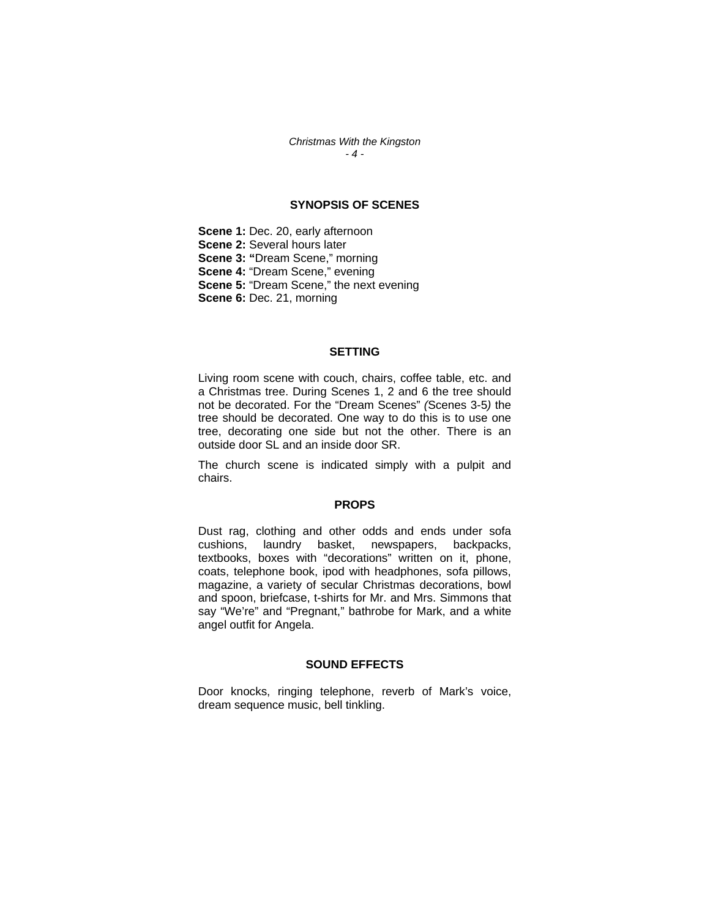*Christmas With the Kingston - 4 -* 

#### **SYNOPSIS OF SCENES**

**Scene 1: Dec. 20, early afternoon Scene 2:** Several hours later **Scene 3: "**Dream Scene," morning **Scene 4: "Dream Scene," evening Scene 5: "Dream Scene," the next evening Scene 6:** Dec. 21, morning

#### **SETTING**

Living room scene with couch, chairs, coffee table, etc. and a Christmas tree. During Scenes 1, 2 and 6 the tree should not be decorated. For the "Dream Scenes" *(*Scenes 3-5*)* the tree should be decorated. One way to do this is to use one tree, decorating one side but not the other. There is an outside door SL and an inside door SR.

The church scene is indicated simply with a pulpit and chairs.

#### **PROPS**

Dust rag, clothing and other odds and ends under sofa cushions, laundry basket, newspapers, backpacks, textbooks, boxes with "decorations" written on it, phone, coats, telephone book, ipod with headphones, sofa pillows, magazine, a variety of secular Christmas decorations, bowl and spoon, briefcase, t-shirts for Mr. and Mrs. Simmons that say "We're" and "Pregnant," bathrobe for Mark, and a white angel outfit for Angela.

#### **SOUND EFFECTS**

Door knocks, ringing telephone, reverb of Mark's voice, dream sequence music, bell tinkling.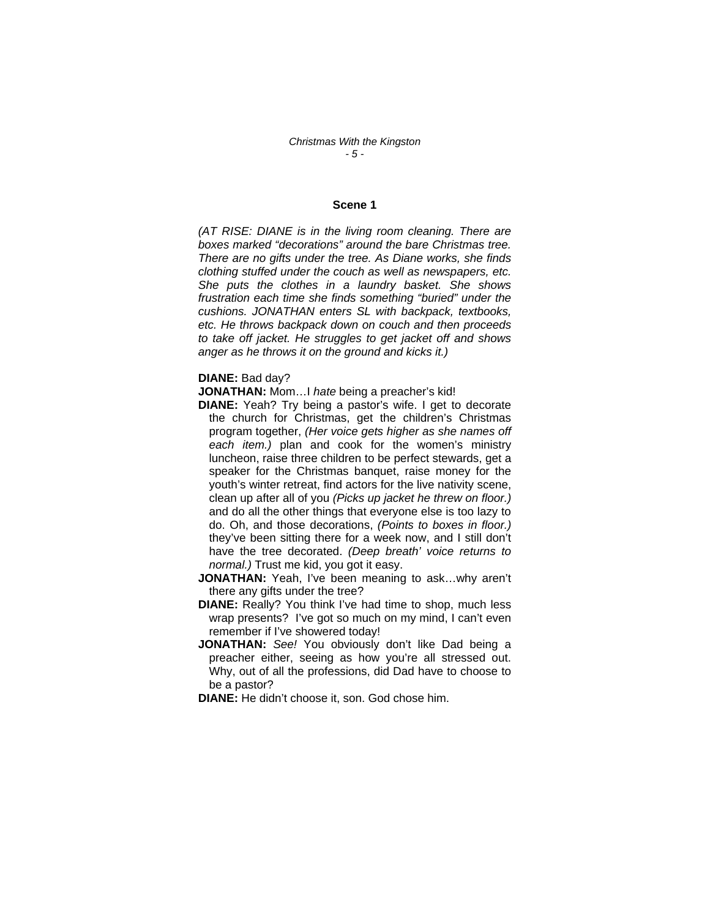#### **Scene 1**

*(AT RISE: DIANE is in the living room cleaning. There are boxes marked "decorations" around the bare Christmas tree. There are no gifts under the tree. As Diane works, she finds clothing stuffed under the couch as well as newspapers, etc. She puts the clothes in a laundry basket. She shows frustration each time she finds something "buried" under the cushions. JONATHAN enters SL with backpack, textbooks, etc. He throws backpack down on couch and then proceeds to take off jacket. He struggles to get jacket off and shows anger as he throws it on the ground and kicks it.)* 

#### **DIANE:** Bad day?

**JONATHAN:** Mom…I *hate* being a preacher's kid!

- **DIANE:** Yeah? Try being a pastor's wife. I get to decorate the church for Christmas, get the children's Christmas program together, *(Her voice gets higher as she names off each item.)* plan and cook for the women's ministry luncheon, raise three children to be perfect stewards, get a speaker for the Christmas banquet, raise money for the youth's winter retreat, find actors for the live nativity scene, clean up after all of you *(Picks up jacket he threw on floor.)*  and do all the other things that everyone else is too lazy to do. Oh, and those decorations, *(Points to boxes in floor.)*  they've been sitting there for a week now, and I still don't have the tree decorated. *(Deep breath' voice returns to normal.)* Trust me kid, you got it easy.
- **JONATHAN:** Yeah, I've been meaning to ask...why aren't there any gifts under the tree?
- **DIANE:** Really? You think I've had time to shop, much less wrap presents? I've got so much on my mind, I can't even remember if I've showered today!
- **JONATHAN:** *See!* You obviously don't like Dad being a preacher either, seeing as how you're all stressed out. Why, out of all the professions, did Dad have to choose to be a pastor?
- **DIANE:** He didn't choose it, son. God chose him.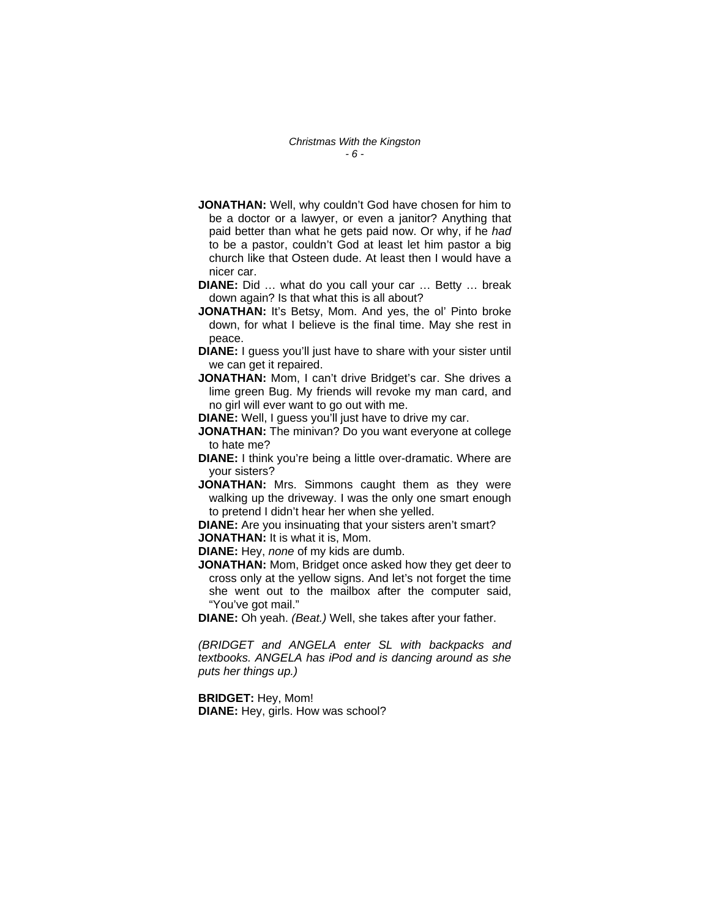- **JONATHAN:** Well, why couldn't God have chosen for him to be a doctor or a lawyer, or even a janitor? Anything that paid better than what he gets paid now. Or why, if he *had* to be a pastor, couldn't God at least let him pastor a big church like that Osteen dude. At least then I would have a nicer car.
- **DIANE:** Did … what do you call your car … Betty … break down again? Is that what this is all about?
- **JONATHAN:** It's Betsy, Mom. And yes, the ol' Pinto broke down, for what I believe is the final time. May she rest in peace.
- **DIANE:** I guess you'll just have to share with your sister until we can get it repaired.
- **JONATHAN:** Mom, I can't drive Bridget's car. She drives a lime green Bug. My friends will revoke my man card, and no girl will ever want to go out with me.
- **DIANE:** Well, I guess you'll just have to drive my car.
- **JONATHAN:** The minivan? Do you want everyone at college to hate me?
- **DIANE:** I think you're being a little over-dramatic. Where are your sisters?
- **JONATHAN:** Mrs. Simmons caught them as they were walking up the driveway. I was the only one smart enough to pretend I didn't hear her when she yelled.

**DIANE:** Are you insinuating that your sisters aren't smart? **JONATHAN:** It is what it is, Mom.

**DIANE:** Hey, *none* of my kids are dumb.

**JONATHAN:** Mom, Bridget once asked how they get deer to cross only at the yellow signs. And let's not forget the time she went out to the mailbox after the computer said, "You've got mail."

**DIANE:** Oh yeah. *(Beat.)* Well, she takes after your father.

*(BRIDGET and ANGELA enter SL with backpacks and textbooks. ANGELA has iPod and is dancing around as she puts her things up.)* 

**BRIDGET:** Hey, Mom! **DIANE:** Hey, girls. How was school?